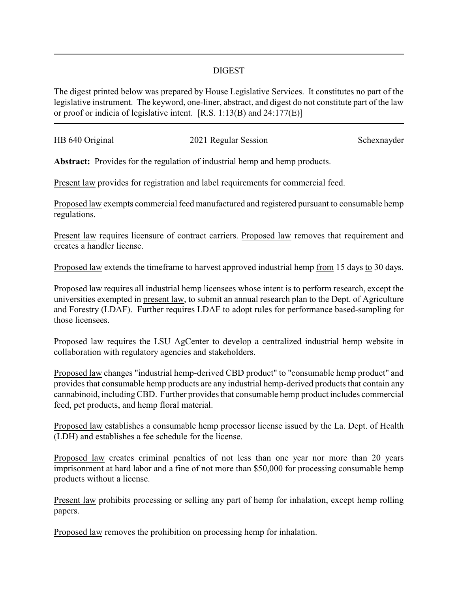## DIGEST

The digest printed below was prepared by House Legislative Services. It constitutes no part of the legislative instrument. The keyword, one-liner, abstract, and digest do not constitute part of the law or proof or indicia of legislative intent. [R.S. 1:13(B) and 24:177(E)]

| HB 640 Original | 2021 Regular Session | Schexnayder |
|-----------------|----------------------|-------------|
|                 |                      |             |

**Abstract:** Provides for the regulation of industrial hemp and hemp products.

Present law provides for registration and label requirements for commercial feed.

Proposed law exempts commercial feed manufactured and registered pursuant to consumable hemp regulations.

Present law requires licensure of contract carriers. Proposed law removes that requirement and creates a handler license.

Proposed law extends the timeframe to harvest approved industrial hemp from 15 days to 30 days.

Proposed law requires all industrial hemp licensees whose intent is to perform research, except the universities exempted in present law, to submit an annual research plan to the Dept. of Agriculture and Forestry (LDAF). Further requires LDAF to adopt rules for performance based-sampling for those licensees.

Proposed law requires the LSU AgCenter to develop a centralized industrial hemp website in collaboration with regulatory agencies and stakeholders.

Proposed law changes "industrial hemp-derived CBD product" to "consumable hemp product" and provides that consumable hemp products are any industrial hemp-derived products that contain any cannabinoid, includingCBD. Further provides that consumable hemp product includes commercial feed, pet products, and hemp floral material.

Proposed law establishes a consumable hemp processor license issued by the La. Dept. of Health (LDH) and establishes a fee schedule for the license.

Proposed law creates criminal penalties of not less than one year nor more than 20 years imprisonment at hard labor and a fine of not more than \$50,000 for processing consumable hemp products without a license.

Present law prohibits processing or selling any part of hemp for inhalation, except hemp rolling papers.

Proposed law removes the prohibition on processing hemp for inhalation.